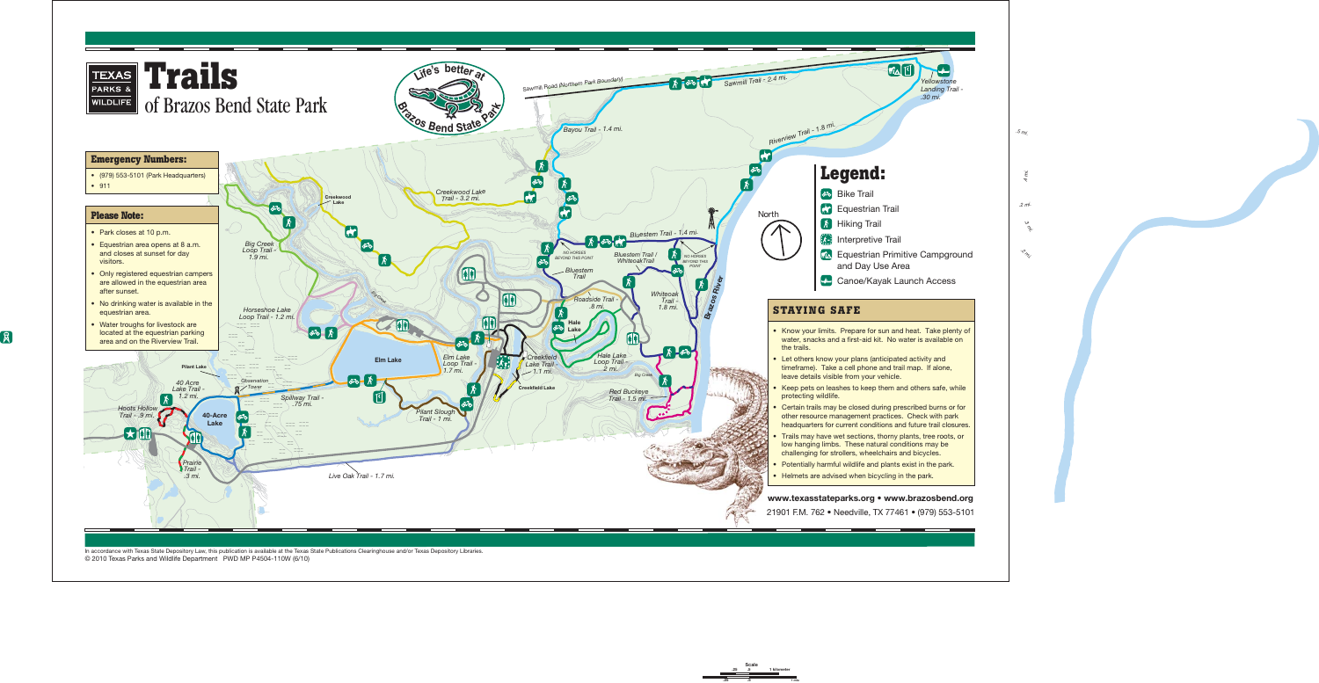

In accordance with Texas State Depository Law, this publication is available at the Texas State Publications Clearinghouse and/or Texas Depository Libraries. © 2010 Texas Parks and Wildlife Department PWD MP P4504-110W (6/10)